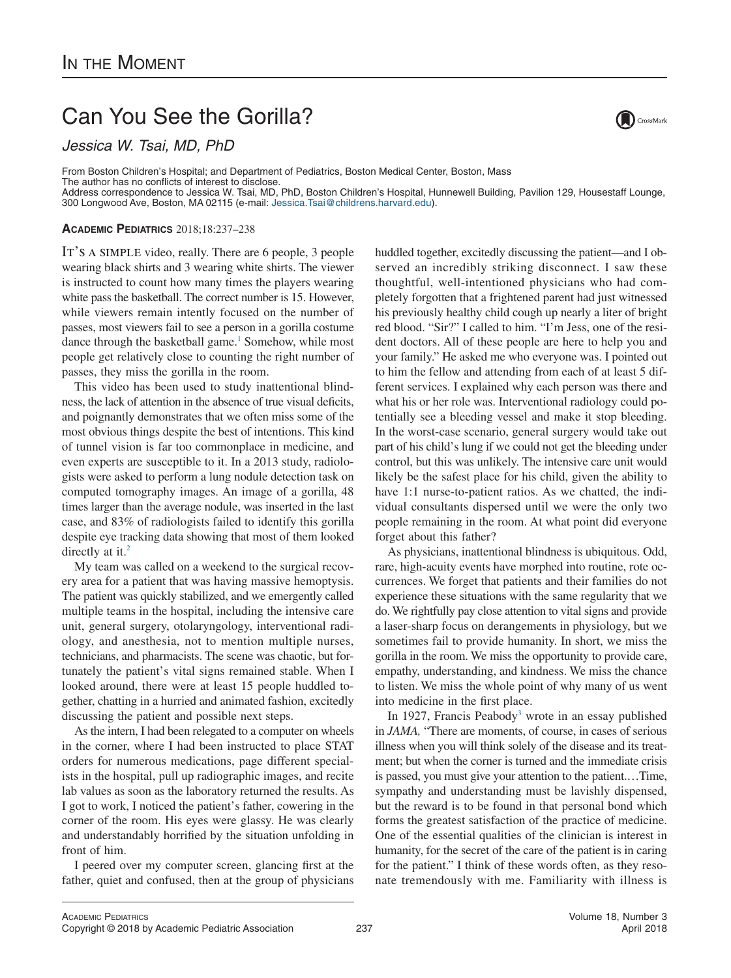## Can You See the Gorilla?

*Jessica W. Tsai, MD, PhD*

From Boston Children's Hospital; and Department of Pediatrics, Boston Medical Center, Boston, Mass The author has no conflicts of interest to disclose. Address correspondence to Jessica W. Tsai, MD, PhD, Boston Children's Hospital, Hunnewell Building, Pavilion 129, Housestaff Lounge, 300 Longwood Ave, Boston, MA 02115 (e-mail: [Jessica.Tsai@childrens.harvard.edu\)](mailto:Jessica.Tsai@childrens.harvard.edu).

## **ACADEMIC PEDIATRICS** 2018;18:237–238

It's a simple video, really. There are 6 people, 3 people wearing black shirts and 3 wearing white shirts. The viewer is instructed to count how many times the players wearing white pass the basketball. The correct number is 15. However, while viewers remain intently focused on the number of passes, most viewers fail to see a person in a gorilla costume dance through the basketball game.<sup>1</sup> Somehow, while most people get relatively close to counting the right number of passes, they miss the gorilla in the room.

This video has been used to study inattentional blindness, the lack of attention in the absence of true visual deficits, and poignantly demonstrates that we often miss some of the most obvious things despite the best of intentions. This kind of tunnel vision is far too commonplace in medicine, and even experts are susceptible to it. In a 2013 study, radiologists were asked to perform a lung nodule detection task on computed tomography images. An image of a gorilla, 48 times larger than the average nodule, was inserted in the last case, and 83% of radiologists failed to identify this gorilla despite eye tracking data showing that most of them looked directly at it.<sup>2</sup>

My team was called on a weekend to the surgical recovery area for a patient that was having massive hemoptysis. The patient was quickly stabilized, and we emergently called multiple teams in the hospital, including the intensive care unit, general surgery, otolaryngology, interventional radiology, and anesthesia, not to mention multiple nurses, technicians, and pharmacists. The scene was chaotic, but fortunately the patient's vital signs remained stable. When I looked around, there were at least 15 people huddled together, chatting in a hurried and animated fashion, excitedly discussing the patient and possible next steps.

As the intern, I had been relegated to a computer on wheels in the corner, where I had been instructed to place STAT orders for numerous medications, page different specialists in the hospital, pull up radiographic images, and recite lab values as soon as the laboratory returned the results. As I got to work, I noticed the patient's father, cowering in the corner of the room. His eyes were glassy. He was clearly and understandably horrified by the situation unfolding in front of him.

I peered over my computer screen, glancing first at the father, quiet and confused, then at the group of physicians huddled together, excitedly discussing the patient—and I observed an incredibly striking disconnect. I saw these thoughtful, well-intentioned physicians who had completely forgotten that a frightened parent had just witnessed his previously healthy child cough up nearly a liter of bright red blood. "Sir?" I called to him. "I'm Jess, one of the resident doctors. All of these people are here to help you and your family." He asked me who everyone was. I pointed out to him the fellow and attending from each of at least 5 different services. I explained why each person was there and what his or her role was. Interventional radiology could potentially see a bleeding vessel and make it stop bleeding. In the worst-case scenario, general surgery would take out part of his child's lung if we could not get the bleeding under control, but this was unlikely. The intensive care unit would likely be the safest place for his child, given the ability to have 1:1 nurse-to-patient ratios. As we chatted, the individual consultants dispersed until we were the only two people remaining in the room. At what point did everyone forget about this father?

As physicians, inattentional blindness is ubiquitous. Odd, rare, high-acuity events have morphed into routine, rote occurrences. We forget that patients and their families do not experience these situations with the same regularity that we do. We rightfully pay close attention to vital signs and provide a laser-sharp focus on derangements in physiology, but we sometimes fail to provide humanity. In short, we miss the gorilla in the room. We miss the opportunity to provide care, empathy, understanding, and kindness. We miss the chance to listen. We miss the whole point of why many of us went into medicine in the first place.

In 1927, Francis Peabody<sup>3</sup> wrote in an essay published in *JAMA,* "There are moments, of course, in cases of serious illness when you will think solely of the disease and its treatment; but when the corner is turned and the immediate crisis is passed, you must give your attention to the patient.…Time, sympathy and understanding must be lavishly dispensed, but the reward is to be found in that personal bond which forms the greatest satisfaction of the practice of medicine. One of the essential qualities of the clinician is interest in humanity, for the secret of the care of the patient is in caring for the patient." I think of these words often, as they resonate tremendously with me. Familiarity with illness is